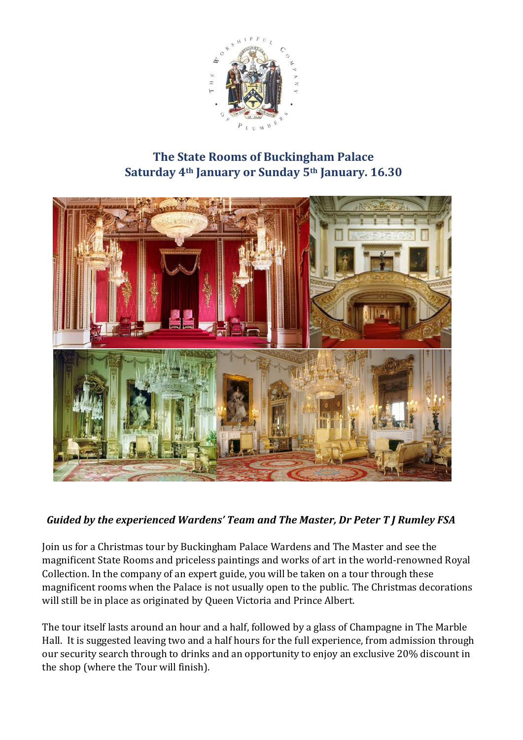

## **The State Rooms of Buckingham Palace Saturday 4th January or Sunday 5th January. 16.30**



## *Guided by the experienced Wardens' Team and The Master, Dr Peter T J Rumley FSA*

Join us for a Christmas tour by Buckingham Palace Wardens and The Master and see the magnificent State Rooms and priceless paintings and works of art in the world-renowned Royal Collection. In the company of an expert guide, you will be taken on a tour through these magnificent rooms when the Palace is not usually open to the public. The Christmas decorations will still be in place as originated by Queen Victoria and Prince Albert.

The tour itself lasts around an hour and a half, followed by a glass of Champagne in The Marble Hall. It is suggested leaving two and a half hours for the full experience, from admission through our security search through to drinks and an opportunity to enjoy an exclusive 20% discount in the shop (where the Tour will finish).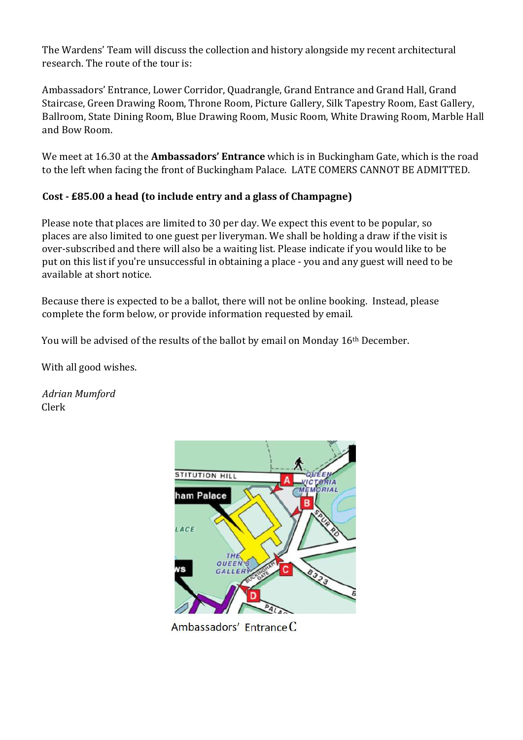The Wardens' Team will discuss the collection and history alongside my recent architectural research. The route of the tour is:

Ambassadors' Entrance, Lower Corridor, Quadrangle, Grand Entrance and Grand Hall, Grand Staircase, Green Drawing Room, Throne Room, Picture Gallery, Silk Tapestry Room, East Gallery, Ballroom, State Dining Room, Blue Drawing Room, Music Room, White Drawing Room, Marble Hall and Bow Room.

We meet at 16.30 at the **Ambassadors' Entrance** which is in Buckingham Gate, which is the road to the left when facing the front of Buckingham Palace. LATE COMERS CANNOT BE ADMITTED.

## **Cost - £85.00 a head (to include entry and a glass of Champagne)**

Please note that places are limited to 30 per day. We expect this event to be popular, so places are also limited to one guest per liveryman. We shall be holding a draw if the visit is over-subscribed and there will also be a waiting list. Please indicate if you would like to be put on this list if you're unsuccessful in obtaining a place - you and any guest will need to be available at short notice.

Because there is expected to be a ballot, there will not be online booking. Instead, please complete the form below, or provide information requested by email.

You will be advised of the results of the ballot by email on Monday 16<sup>th</sup> December.

With all good wishes.

*Adrian Mumford*  Clerk



Ambassadors' Entrance C